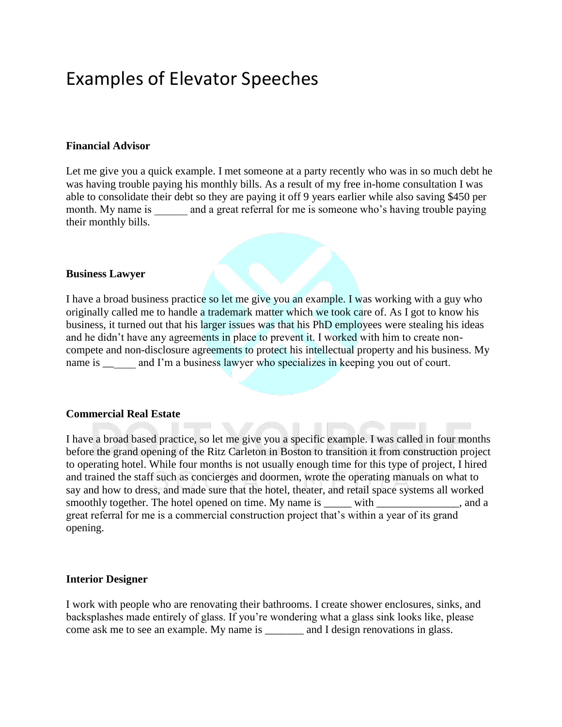# Examples of Elevator Speeches

#### **Financial Advisor**

Let me give you a quick example. I met someone at a party recently who was in so much debt he was having trouble paying his monthly bills. As a result of my free in-home consultation I was able to consolidate their debt so they are paying it off 9 years earlier while also saving \$450 per month. My name is and a great referral for me is someone who's having trouble paying their monthly bills.

#### **Business Lawyer**

I have a broad business practice so let me give you an example. I was working with a guy who originally called me to handle a trademark matter which we took care of. As I got to know his business, it turned out that his larger issues was that his PhD employees were stealing his ideas and he didn't have any agreements in place to prevent it. I worked with him to create noncompete and non-disclosure agreements to protect his intellectual property and his business. My name is \_\_\_\_\_\_\_ and I'm a business lawyer who specializes in keeping you out of court.

#### **Commercial Real Estate**

I have a broad based practice, so let me give you a specific example. I was called in four months before the grand opening of the Ritz Carleton in Boston to transition it from construction project to operating hotel. While four months is not usually enough time for this type of project, I hired and trained the staff such as concierges and doormen, wrote the operating manuals on what to say and how to dress, and made sure that the hotel, theater, and retail space systems all worked smoothly together. The hotel opened on time. My name is \_\_\_\_\_ with \_\_\_\_\_\_\_\_\_\_\_\_\_, and a great referral for me is a commercial construction project that's within a year of its grand opening.

#### **Interior Designer**

I work with people who are renovating their bathrooms. I create shower enclosures, sinks, and backsplashes made entirely of glass. If you're wondering what a glass sink looks like, please come ask me to see an example. My name is \_\_\_\_\_\_\_ and I design renovations in glass.